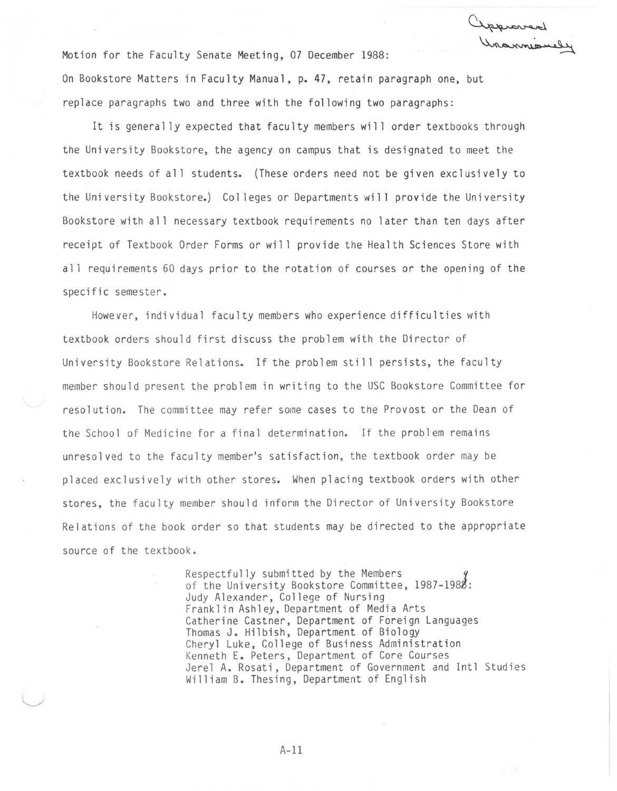Motion for the Faculty Senate Meeting, 07 December 1988: On Bookstore Matters in Faculty Manual, p. 47, retain paragraph one, but replace paragraphs two and three with the following two paragraphs:

It is generally expected that faculty members will order textbooks through the University Bookstore, the agency on campus that is designated to meet the textbook needs of all students. (These orders need not be given exclusively to the University Bookstore.) Colleges or Departments will provide the University Bookstore with all necessary textbook requirements no later than ten days after receipt of Textbook Order Forms or will provide the Health Sciences Store with all requirements 60 days prior to the rotation of courses or the opening of the specific semester.

However, individual faculty members who experience difficulties with textbook orders should first discuss the problem with the Director of University Bookstore Relations. If the problem still persists, the faculty member should present the problem in writing to the USC Bookstore Committee for resolution. The committee may refer some cases to the Provost or the Dean of the School of Medicine for a final determination. If the problem remains unresolved to the faculty member's satisfaction, the textbook order may be placed exclusively with other stores. When placing textbook orders with other stores, the faculty member should inform the Director of University Bookstore Relations of the book order so that students may be directed to the appropriate source of the textbook.

> Respectfully submitted by the Members of the University Bookstore Committee, 1987-1988: Judy Alexander, College of Nursing Franklin Ashley, Department of Media Arts Catherine Castner, Department of Foreign Languages Thomas J. Hilbish, Department of Biology Cheryl Luke, College of Business Administration Kenneth E. Peters, Department of Core Courses Jerel A. Rosati, Department of Government and Intl Studies William B. Thesing, Department of English

> > A-11